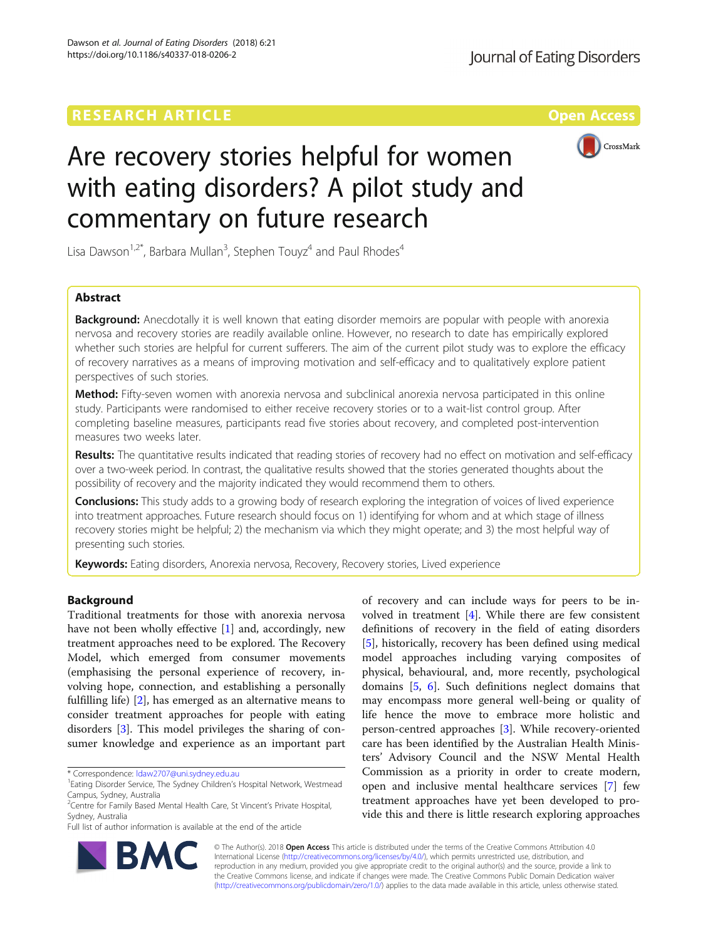

# Are recovery stories helpful for women with eating disorders? A pilot study and commentary on future research

Lisa Dawson $^{1,2^{\ast}}$ , Barbara Mullan $^3$ , Stephen Touyz $^4$  and Paul Rhodes $^4$ 

# Abstract

**Background:** Anecdotally it is well known that eating disorder memoirs are popular with people with anorexia nervosa and recovery stories are readily available online. However, no research to date has empirically explored whether such stories are helpful for current sufferers. The aim of the current pilot study was to explore the efficacy of recovery narratives as a means of improving motivation and self-efficacy and to qualitatively explore patient perspectives of such stories.

Method: Fifty-seven women with anorexia nervosa and subclinical anorexia nervosa participated in this online study. Participants were randomised to either receive recovery stories or to a wait-list control group. After completing baseline measures, participants read five stories about recovery, and completed post-intervention measures two weeks later.

Results: The quantitative results indicated that reading stories of recovery had no effect on motivation and self-efficacy over a two-week period. In contrast, the qualitative results showed that the stories generated thoughts about the possibility of recovery and the majority indicated they would recommend them to others.

**Conclusions:** This study adds to a growing body of research exploring the integration of voices of lived experience into treatment approaches. Future research should focus on 1) identifying for whom and at which stage of illness recovery stories might be helpful; 2) the mechanism via which they might operate; and 3) the most helpful way of presenting such stories.

Keywords: Eating disorders, Anorexia nervosa, Recovery, Recovery stories, Lived experience

# Background

Traditional treatments for those with anorexia nervosa have not been wholly effective [\[1](#page-8-0)] and, accordingly, new treatment approaches need to be explored. The Recovery Model, which emerged from consumer movements (emphasising the personal experience of recovery, involving hope, connection, and establishing a personally fulfilling life) [\[2](#page-8-0)], has emerged as an alternative means to consider treatment approaches for people with eating disorders [\[3](#page-8-0)]. This model privileges the sharing of consumer knowledge and experience as an important part

\* Correspondence: [ldaw2707@uni.sydney.edu.au](mailto:ldaw2707@uni.sydney.edu.au) <sup>1</sup>

Full list of author information is available at the end of the article

of recovery and can include ways for peers to be involved in treatment [\[4](#page-8-0)]. While there are few consistent definitions of recovery in the field of eating disorders [[5\]](#page-8-0), historically, recovery has been defined using medical model approaches including varying composites of physical, behavioural, and, more recently, psychological domains [[5,](#page-8-0) [6\]](#page-8-0). Such definitions neglect domains that may encompass more general well-being or quality of life hence the move to embrace more holistic and person-centred approaches [[3](#page-8-0)]. While recovery-oriented care has been identified by the Australian Health Ministers' Advisory Council and the NSW Mental Health Commission as a priority in order to create modern, open and inclusive mental healthcare services [\[7](#page-8-0)] few treatment approaches have yet been developed to provide this and there is little research exploring approaches



© The Author(s). 2018 Open Access This article is distributed under the terms of the Creative Commons Attribution 4.0 International License [\(http://creativecommons.org/licenses/by/4.0/](http://creativecommons.org/licenses/by/4.0/)), which permits unrestricted use, distribution, and reproduction in any medium, provided you give appropriate credit to the original author(s) and the source, provide a link to the Creative Commons license, and indicate if changes were made. The Creative Commons Public Domain Dedication waiver [\(http://creativecommons.org/publicdomain/zero/1.0/](http://creativecommons.org/publicdomain/zero/1.0/)) applies to the data made available in this article, unless otherwise stated.

<sup>&</sup>lt;sup>1</sup> Eating Disorder Service, The Sydney Children's Hospital Network, Westmead Campus, Sydney, Australia

<sup>&</sup>lt;sup>2</sup> Centre for Family Based Mental Health Care, St Vincent's Private Hospital, Sydney, Australia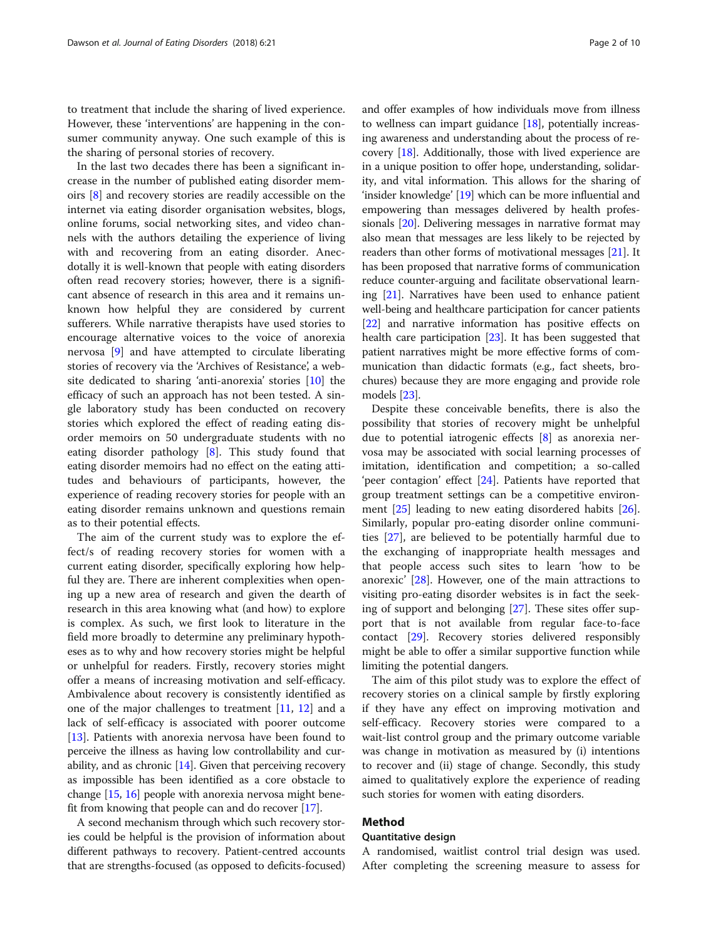to treatment that include the sharing of lived experience. However, these 'interventions' are happening in the consumer community anyway. One such example of this is the sharing of personal stories of recovery.

In the last two decades there has been a significant increase in the number of published eating disorder memoirs [\[8](#page-8-0)] and recovery stories are readily accessible on the internet via eating disorder organisation websites, blogs, online forums, social networking sites, and video channels with the authors detailing the experience of living with and recovering from an eating disorder. Anecdotally it is well-known that people with eating disorders often read recovery stories; however, there is a significant absence of research in this area and it remains unknown how helpful they are considered by current sufferers. While narrative therapists have used stories to encourage alternative voices to the voice of anorexia nervosa [\[9](#page-8-0)] and have attempted to circulate liberating stories of recovery via the 'Archives of Resistance', a website dedicated to sharing 'anti-anorexia' stories [\[10](#page-8-0)] the efficacy of such an approach has not been tested. A single laboratory study has been conducted on recovery stories which explored the effect of reading eating disorder memoirs on 50 undergraduate students with no eating disorder pathology [\[8](#page-8-0)]. This study found that eating disorder memoirs had no effect on the eating attitudes and behaviours of participants, however, the experience of reading recovery stories for people with an eating disorder remains unknown and questions remain as to their potential effects.

The aim of the current study was to explore the effect/s of reading recovery stories for women with a current eating disorder, specifically exploring how helpful they are. There are inherent complexities when opening up a new area of research and given the dearth of research in this area knowing what (and how) to explore is complex. As such, we first look to literature in the field more broadly to determine any preliminary hypotheses as to why and how recovery stories might be helpful or unhelpful for readers. Firstly, recovery stories might offer a means of increasing motivation and self-efficacy. Ambivalence about recovery is consistently identified as one of the major challenges to treatment [\[11](#page-8-0), [12\]](#page-8-0) and a lack of self-efficacy is associated with poorer outcome [[13\]](#page-8-0). Patients with anorexia nervosa have been found to perceive the illness as having low controllability and curability, and as chronic [\[14\]](#page-8-0). Given that perceiving recovery as impossible has been identified as a core obstacle to change [[15](#page-8-0), [16](#page-8-0)] people with anorexia nervosa might benefit from knowing that people can and do recover [\[17](#page-8-0)].

A second mechanism through which such recovery stories could be helpful is the provision of information about different pathways to recovery. Patient-centred accounts that are strengths-focused (as opposed to deficits-focused) and offer examples of how individuals move from illness to wellness can impart guidance  $[18]$ , potentially increasing awareness and understanding about the process of recovery [\[18](#page-8-0)]. Additionally, those with lived experience are in a unique position to offer hope, understanding, solidarity, and vital information. This allows for the sharing of 'insider knowledge' [[19](#page-8-0)] which can be more influential and empowering than messages delivered by health professionals [\[20\]](#page-8-0). Delivering messages in narrative format may also mean that messages are less likely to be rejected by readers than other forms of motivational messages [\[21](#page-8-0)]. It has been proposed that narrative forms of communication reduce counter-arguing and facilitate observational learning [\[21\]](#page-8-0). Narratives have been used to enhance patient well-being and healthcare participation for cancer patients [[22](#page-8-0)] and narrative information has positive effects on health care participation [\[23\]](#page-8-0). It has been suggested that patient narratives might be more effective forms of communication than didactic formats (e.g., fact sheets, brochures) because they are more engaging and provide role models [\[23\]](#page-8-0).

Despite these conceivable benefits, there is also the possibility that stories of recovery might be unhelpful due to potential iatrogenic effects  $\lceil 8 \rceil$  as anorexia nervosa may be associated with social learning processes of imitation, identification and competition; a so-called 'peer contagion' effect [[24](#page-8-0)]. Patients have reported that group treatment settings can be a competitive environment [[25\]](#page-8-0) leading to new eating disordered habits [\[26](#page-8-0)]. Similarly, popular pro-eating disorder online communities [\[27](#page-8-0)], are believed to be potentially harmful due to the exchanging of inappropriate health messages and that people access such sites to learn 'how to be anorexic' [[28\]](#page-8-0). However, one of the main attractions to visiting pro-eating disorder websites is in fact the seeking of support and belonging [\[27](#page-8-0)]. These sites offer support that is not available from regular face-to-face contact [[29\]](#page-8-0). Recovery stories delivered responsibly might be able to offer a similar supportive function while limiting the potential dangers.

The aim of this pilot study was to explore the effect of recovery stories on a clinical sample by firstly exploring if they have any effect on improving motivation and self-efficacy. Recovery stories were compared to a wait-list control group and the primary outcome variable was change in motivation as measured by (i) intentions to recover and (ii) stage of change. Secondly, this study aimed to qualitatively explore the experience of reading such stories for women with eating disorders.

# Method

# Quantitative design

A randomised, waitlist control trial design was used. After completing the screening measure to assess for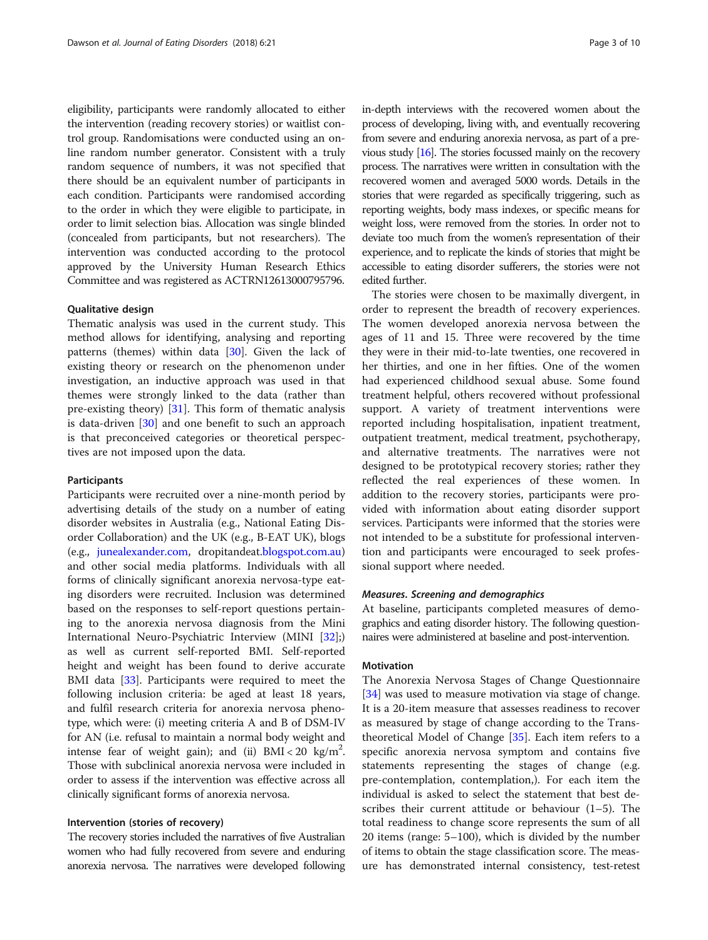eligibility, participants were randomly allocated to either the intervention (reading recovery stories) or waitlist control group. Randomisations were conducted using an online random number generator. Consistent with a truly random sequence of numbers, it was not specified that there should be an equivalent number of participants in each condition. Participants were randomised according to the order in which they were eligible to participate, in order to limit selection bias. Allocation was single blinded (concealed from participants, but not researchers). The intervention was conducted according to the protocol approved by the University Human Research Ethics Committee and was registered as ACTRN12613000795796.

#### Qualitative design

Thematic analysis was used in the current study. This method allows for identifying, analysing and reporting patterns (themes) within data [[30\]](#page-8-0). Given the lack of existing theory or research on the phenomenon under investigation, an inductive approach was used in that themes were strongly linked to the data (rather than pre-existing theory)  $[31]$  $[31]$  $[31]$ . This form of thematic analysis is data-driven [[30\]](#page-8-0) and one benefit to such an approach is that preconceived categories or theoretical perspectives are not imposed upon the data.

#### Participants

Participants were recruited over a nine-month period by advertising details of the study on a number of eating disorder websites in Australia (e.g., National Eating Disorder Collaboration) and the UK (e.g., B-EAT UK), blogs (e.g., [junealexander.com](http://junealexander.com), dropitandeat.[blogspot.com.au](http://blogspot.com.au)) and other social media platforms. Individuals with all forms of clinically significant anorexia nervosa-type eating disorders were recruited. Inclusion was determined based on the responses to self-report questions pertaining to the anorexia nervosa diagnosis from the Mini International Neuro-Psychiatric Interview (MINI [\[32](#page-8-0)];) as well as current self-reported BMI. Self-reported height and weight has been found to derive accurate BMI data [\[33](#page-8-0)]. Participants were required to meet the following inclusion criteria: be aged at least 18 years, and fulfil research criteria for anorexia nervosa phenotype, which were: (i) meeting criteria A and B of DSM-IV for AN (i.e. refusal to maintain a normal body weight and intense fear of weight gain); and (ii)  $\text{BMI} < 20 \text{ kg/m}^2$ . Those with subclinical anorexia nervosa were included in order to assess if the intervention was effective across all clinically significant forms of anorexia nervosa.

#### Intervention (stories of recovery)

The recovery stories included the narratives of five Australian women who had fully recovered from severe and enduring anorexia nervosa. The narratives were developed following in-depth interviews with the recovered women about the process of developing, living with, and eventually recovering from severe and enduring anorexia nervosa, as part of a previous study [\[16](#page-8-0)]. The stories focussed mainly on the recovery process. The narratives were written in consultation with the recovered women and averaged 5000 words. Details in the stories that were regarded as specifically triggering, such as reporting weights, body mass indexes, or specific means for weight loss, were removed from the stories. In order not to deviate too much from the women's representation of their experience, and to replicate the kinds of stories that might be accessible to eating disorder sufferers, the stories were not edited further.

The stories were chosen to be maximally divergent, in order to represent the breadth of recovery experiences. The women developed anorexia nervosa between the ages of 11 and 15. Three were recovered by the time they were in their mid-to-late twenties, one recovered in her thirties, and one in her fifties. One of the women had experienced childhood sexual abuse. Some found treatment helpful, others recovered without professional support. A variety of treatment interventions were reported including hospitalisation, inpatient treatment, outpatient treatment, medical treatment, psychotherapy, and alternative treatments. The narratives were not designed to be prototypical recovery stories; rather they reflected the real experiences of these women. In addition to the recovery stories, participants were provided with information about eating disorder support services. Participants were informed that the stories were not intended to be a substitute for professional intervention and participants were encouraged to seek professional support where needed.

#### Measures. Screening and demographics

At baseline, participants completed measures of demographics and eating disorder history. The following questionnaires were administered at baseline and post-intervention.

#### Motivation

The Anorexia Nervosa Stages of Change Questionnaire [[34\]](#page-8-0) was used to measure motivation via stage of change. It is a 20-item measure that assesses readiness to recover as measured by stage of change according to the Transtheoretical Model of Change [\[35](#page-9-0)]. Each item refers to a specific anorexia nervosa symptom and contains five statements representing the stages of change (e.g. pre-contemplation, contemplation,). For each item the individual is asked to select the statement that best describes their current attitude or behaviour (1–5). The total readiness to change score represents the sum of all 20 items (range: 5–100), which is divided by the number of items to obtain the stage classification score. The measure has demonstrated internal consistency, test-retest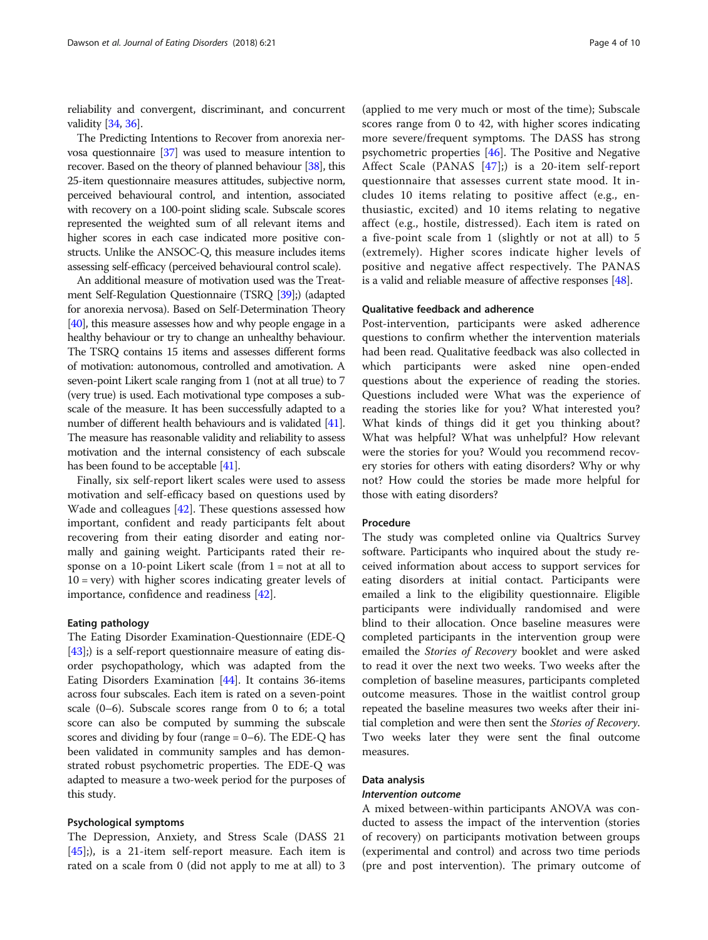reliability and convergent, discriminant, and concurrent validity [\[34,](#page-8-0) [36](#page-9-0)].

The Predicting Intentions to Recover from anorexia nervosa questionnaire [[37\]](#page-9-0) was used to measure intention to recover. Based on the theory of planned behaviour [\[38\]](#page-9-0), this 25-item questionnaire measures attitudes, subjective norm, perceived behavioural control, and intention, associated with recovery on a 100-point sliding scale. Subscale scores represented the weighted sum of all relevant items and higher scores in each case indicated more positive constructs. Unlike the ANSOC-Q, this measure includes items assessing self-efficacy (perceived behavioural control scale).

An additional measure of motivation used was the Treatment Self-Regulation Questionnaire (TSRQ [\[39](#page-9-0)];) (adapted for anorexia nervosa). Based on Self-Determination Theory [[40](#page-9-0)], this measure assesses how and why people engage in a healthy behaviour or try to change an unhealthy behaviour. The TSRQ contains 15 items and assesses different forms of motivation: autonomous, controlled and amotivation. A seven-point Likert scale ranging from 1 (not at all true) to 7 (very true) is used. Each motivational type composes a subscale of the measure. It has been successfully adapted to a number of different health behaviours and is validated [\[41](#page-9-0)]. The measure has reasonable validity and reliability to assess motivation and the internal consistency of each subscale has been found to be acceptable [[41](#page-9-0)].

Finally, six self-report likert scales were used to assess motivation and self-efficacy based on questions used by Wade and colleagues [\[42](#page-9-0)]. These questions assessed how important, confident and ready participants felt about recovering from their eating disorder and eating normally and gaining weight. Participants rated their response on a 10-point Likert scale (from  $1 = not$  at all to  $10 = \text{very}$ ) with higher scores indicating greater levels of importance, confidence and readiness [\[42\]](#page-9-0).

#### Eating pathology

The Eating Disorder Examination-Questionnaire (EDE-Q [[43](#page-9-0)];) is a self-report questionnaire measure of eating disorder psychopathology, which was adapted from the Eating Disorders Examination [[44](#page-9-0)]. It contains 36-items across four subscales. Each item is rated on a seven-point scale (0–6). Subscale scores range from 0 to 6; a total score can also be computed by summing the subscale scores and dividing by four (range = 0–6). The EDE-Q has been validated in community samples and has demonstrated robust psychometric properties. The EDE-Q was adapted to measure a two-week period for the purposes of this study.

#### Psychological symptoms

The Depression, Anxiety, and Stress Scale (DASS 21  $[45]$  $[45]$ ;), is a 21-item self-report measure. Each item is rated on a scale from 0 (did not apply to me at all) to 3

(applied to me very much or most of the time); Subscale scores range from 0 to 42, with higher scores indicating more severe/frequent symptoms. The DASS has strong psychometric properties [[46\]](#page-9-0). The Positive and Negative Affect Scale (PANAS [\[47\]](#page-9-0);) is a 20-item self-report questionnaire that assesses current state mood. It includes 10 items relating to positive affect (e.g., enthusiastic, excited) and 10 items relating to negative affect (e.g., hostile, distressed). Each item is rated on a five-point scale from 1 (slightly or not at all) to 5 (extremely). Higher scores indicate higher levels of positive and negative affect respectively. The PANAS is a valid and reliable measure of affective responses [\[48](#page-9-0)].

#### Qualitative feedback and adherence

Post-intervention, participants were asked adherence questions to confirm whether the intervention materials had been read. Qualitative feedback was also collected in which participants were asked nine open-ended questions about the experience of reading the stories. Questions included were What was the experience of reading the stories like for you? What interested you? What kinds of things did it get you thinking about? What was helpful? What was unhelpful? How relevant were the stories for you? Would you recommend recovery stories for others with eating disorders? Why or why not? How could the stories be made more helpful for those with eating disorders?

#### Procedure

The study was completed online via Qualtrics Survey software. Participants who inquired about the study received information about access to support services for eating disorders at initial contact. Participants were emailed a link to the eligibility questionnaire. Eligible participants were individually randomised and were blind to their allocation. Once baseline measures were completed participants in the intervention group were emailed the Stories of Recovery booklet and were asked to read it over the next two weeks. Two weeks after the completion of baseline measures, participants completed outcome measures. Those in the waitlist control group repeated the baseline measures two weeks after their initial completion and were then sent the Stories of Recovery. Two weeks later they were sent the final outcome measures.

#### Data analysis

# Intervention outcome

A mixed between-within participants ANOVA was conducted to assess the impact of the intervention (stories of recovery) on participants motivation between groups (experimental and control) and across two time periods (pre and post intervention). The primary outcome of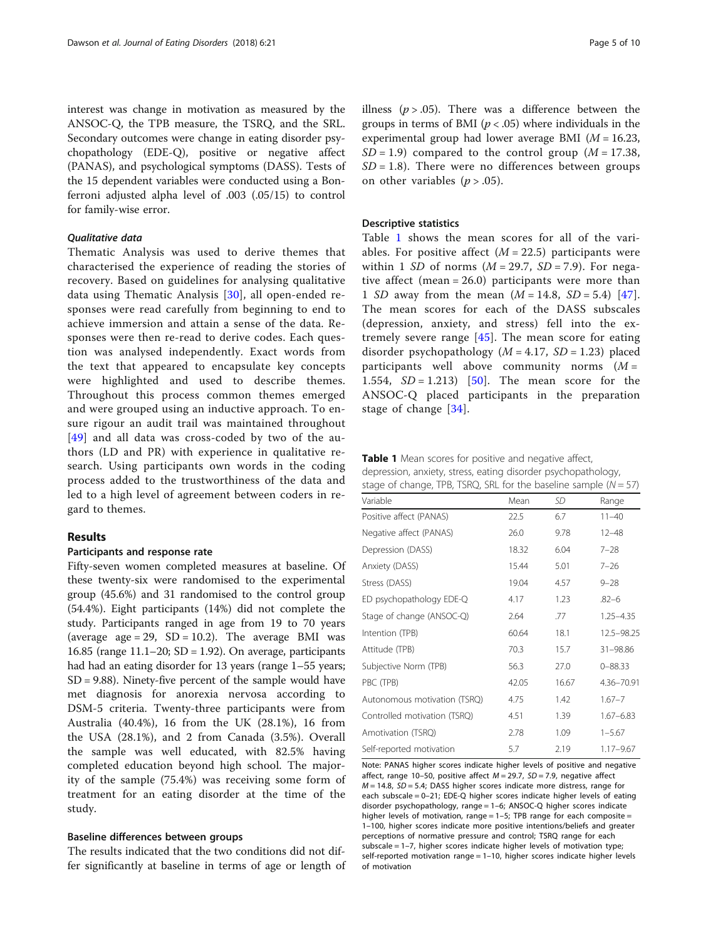interest was change in motivation as measured by the ANSOC-Q, the TPB measure, the TSRQ, and the SRL. Secondary outcomes were change in eating disorder psychopathology (EDE-Q), positive or negative affect (PANAS), and psychological symptoms (DASS). Tests of the 15 dependent variables were conducted using a Bonferroni adjusted alpha level of .003 (.05/15) to control for family-wise error.

# Qualitative data

Thematic Analysis was used to derive themes that characterised the experience of reading the stories of recovery. Based on guidelines for analysing qualitative data using Thematic Analysis [\[30](#page-8-0)], all open-ended responses were read carefully from beginning to end to achieve immersion and attain a sense of the data. Responses were then re-read to derive codes. Each question was analysed independently. Exact words from the text that appeared to encapsulate key concepts were highlighted and used to describe themes. Throughout this process common themes emerged and were grouped using an inductive approach. To ensure rigour an audit trail was maintained throughout [[49](#page-9-0)] and all data was cross-coded by two of the authors (LD and PR) with experience in qualitative research. Using participants own words in the coding process added to the trustworthiness of the data and led to a high level of agreement between coders in regard to themes.

# Results

# Participants and response rate

Fifty-seven women completed measures at baseline. Of these twenty-six were randomised to the experimental group (45.6%) and 31 randomised to the control group (54.4%). Eight participants (14%) did not complete the study. Participants ranged in age from 19 to 70 years (average age = 29,  $SD = 10.2$ ). The average BMI was 16.85 (range  $11.1-20$ ; SD = 1.92). On average, participants had had an eating disorder for 13 years (range 1–55 years;  $SD = 9.88$ ). Ninety-five percent of the sample would have met diagnosis for anorexia nervosa according to DSM-5 criteria. Twenty-three participants were from Australia (40.4%), 16 from the UK (28.1%), 16 from the USA (28.1%), and 2 from Canada (3.5%). Overall the sample was well educated, with 82.5% having completed education beyond high school. The majority of the sample (75.4%) was receiving some form of treatment for an eating disorder at the time of the study.

# Baseline differences between groups

The results indicated that the two conditions did not differ significantly at baseline in terms of age or length of

illness ( $p > .05$ ). There was a difference between the groups in terms of BMI ( $p < .05$ ) where individuals in the experimental group had lower average BMI  $(M = 16.23,$  $SD = 1.9$ ) compared to the control group ( $M = 17.38$ ,  $SD = 1.8$ ). There were no differences between groups on other variables  $(p > .05)$ .

#### Descriptive statistics

Table 1 shows the mean scores for all of the variables. For positive affect  $(M = 22.5)$  participants were within 1 SD of norms  $(M = 29.7, SD = 7.9)$ . For negative affect (mean = 26.0) participants were more than 1 *SD* away from the mean  $(M = 14.8, SD = 5.4)$  [[47](#page-9-0)]. The mean scores for each of the DASS subscales (depression, anxiety, and stress) fell into the extremely severe range [\[45\]](#page-9-0). The mean score for eating disorder psychopathology  $(M = 4.17, SD = 1.23)$  placed participants well above community norms  $(M =$ 1.554,  $SD = 1.213$  [[50\]](#page-9-0). The mean score for the ANSOC-Q placed participants in the preparation stage of change [\[34\]](#page-8-0).

Table 1 Mean scores for positive and negative affect, depression, anxiety, stress, eating disorder psychopathology, stage of change, TPB, TSRO, SRL for the baseline sample  $(N - 57)$ 

| stage of change, in b, rond, one for the basemic sample $(r - 37)$ |       |       |               |  |
|--------------------------------------------------------------------|-------|-------|---------------|--|
| Variable                                                           | Mean  | SD    | Range         |  |
| Positive affect (PANAS)                                            | 22.5  | 6.7   | $11 - 40$     |  |
| Negative affect (PANAS)                                            | 26.0  | 9.78  | $12 - 48$     |  |
| Depression (DASS)                                                  | 18.32 | 6.04  | $7 - 28$      |  |
| Anxiety (DASS)                                                     | 15.44 | 5.01  | $7 - 26$      |  |
| Stress (DASS)                                                      | 19.04 | 4.57  | $9 - 28$      |  |
| ED psychopathology EDE-Q                                           | 4.17  | 1.23  | $.82 - 6$     |  |
| Stage of change (ANSOC-Q)                                          | 2.64  | .77   | $1.25 - 4.35$ |  |
| Intention (TPB)                                                    | 60.64 | 18.1  | 12.5-98.25    |  |
| Attitude (TPB)                                                     | 70.3  | 15.7  | $31 - 98.86$  |  |
| Subjective Norm (TPB)                                              | 56.3  | 27.0  | $0 - 88.33$   |  |
| PBC (TPB)                                                          | 42.05 | 16.67 | 4.36-70.91    |  |
| Autonomous motivation (TSRQ)                                       | 4.75  | 1.42  | $1.67 - 7$    |  |
| Controlled motivation (TSRQ)                                       | 4.51  | 1.39  | $1.67 - 6.83$ |  |
| Amotivation (TSRQ)                                                 | 2.78  | 1.09  | $1 - 5.67$    |  |
| Self-reported motivation                                           | 5.7   | 2.19  | 1.17-9.67     |  |

Note: PANAS higher scores indicate higher levels of positive and negative affect, range 10-50, positive affect  $M = 29.7$ ,  $SD = 7.9$ , negative affect  $M = 14.8$ ,  $SD = 5.4$ ; DASS higher scores indicate more distress, range for each subscale = 0–21; EDE-Q higher scores indicate higher levels of eating disorder psychopathology, range = 1–6; ANSOC-Q higher scores indicate higher levels of motivation, range = 1–5; TPB range for each composite = 1–100, higher scores indicate more positive intentions/beliefs and greater perceptions of normative pressure and control; TSRQ range for each subscale = 1–7, higher scores indicate higher levels of motivation type; self-reported motivation range = 1–10, higher scores indicate higher levels of motivation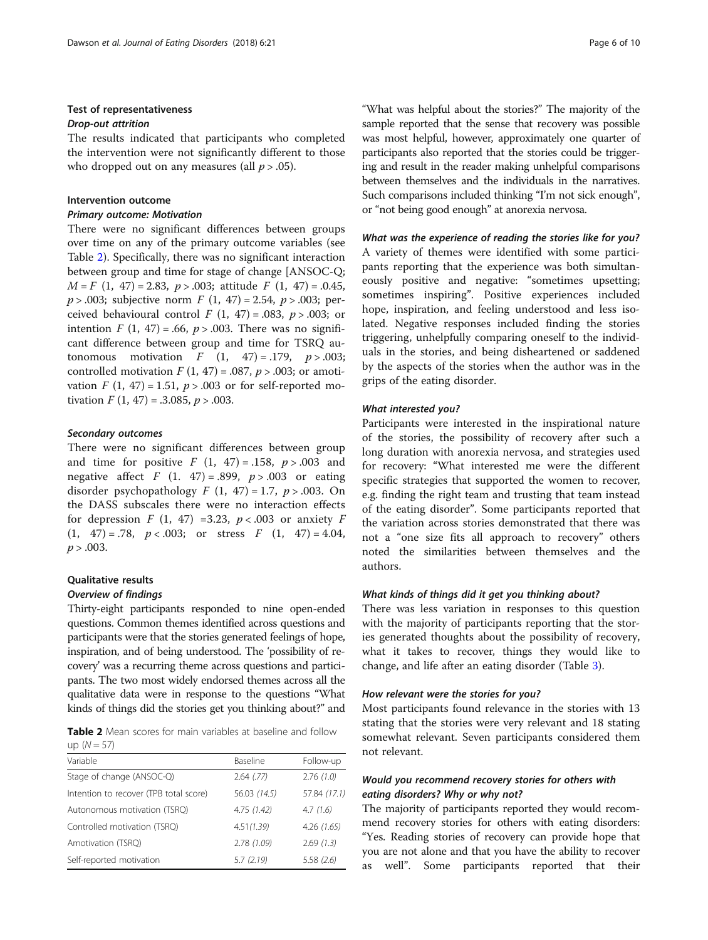# Test of representativeness

# Drop-out attrition

The results indicated that participants who completed the intervention were not significantly different to those who dropped out on any measures (all  $p > .05$ ).

# Intervention outcome

#### Primary outcome: Motivation

There were no significant differences between groups over time on any of the primary outcome variables (see Table 2). Specifically, there was no significant interaction between group and time for stage of change [ANSOC-Q;  $M = F(1, 47) = 2.83, p > .003$ ; attitude  $F(1, 47) = .0.45$ ,  $p > .003$ ; subjective norm  $F(1, 47) = 2.54$ ,  $p > .003$ ; perceived behavioural control  $F(1, 47) = .083$ ,  $p > .003$ ; or intention  $F(1, 47) = .66$ ,  $p > .003$ . There was no significant difference between group and time for TSRQ autonomous motivation  $F (1, 47) = .179, p > .003;$ controlled motivation  $F(1, 47) = .087$ ,  $p > .003$ ; or amotivation  $F(1, 47) = 1.51$ ,  $p > .003$  or for self-reported motivation  $F(1, 47) = .3.085, p > .003$ .

# Secondary outcomes

There were no significant differences between group and time for positive  $F(1, 47) = .158, p > .003$  and negative affect  $F(1. 47) = .899$ ,  $p > .003$  or eating disorder psychopathology  $F(1, 47) = 1.7$ ,  $p > .003$ . On the DASS subscales there were no interaction effects for depression  $F(1, 47) = 3.23, p < .003$  or anxiety  $F(1, 47) = 3.23, p < .003$  $(1, 47) = .78, p < .003;$  or stress  $F (1, 47) = 4.04$ ,  $p > .003$ .

# Qualitative results

# Overview of findings

Thirty-eight participants responded to nine open-ended questions. Common themes identified across questions and participants were that the stories generated feelings of hope, inspiration, and of being understood. The 'possibility of recovery' was a recurring theme across questions and participants. The two most widely endorsed themes across all the qualitative data were in response to the questions "What kinds of things did the stories get you thinking about?" and

Table 2 Mean scores for main variables at baseline and follow up  $(N = 57)$ 

| Variable                               | Baseline        | Follow-up    |
|----------------------------------------|-----------------|--------------|
| Stage of change (ANSOC-Q)              | $2.64$ $(0.77)$ | 2.76(1.0)    |
| Intention to recover (TPB total score) | 56.03 (14.5)    | 57.84 (17.1) |
| Autonomous motivation (TSRQ)           | 4.75 (1.42)     | 4.7(1.6)     |
| Controlled motivation (TSRQ)           | 4.51(1.39)      | 4.26(1.65)   |
| Amotivation (TSRQ)                     | 2.78(1.09)      | 2.69(1.3)    |
| Self-reported motivation               | 5.7(2.19)       | 5.58(2.6)    |

"What was helpful about the stories?" The majority of the sample reported that the sense that recovery was possible was most helpful, however, approximately one quarter of participants also reported that the stories could be triggering and result in the reader making unhelpful comparisons between themselves and the individuals in the narratives. Such comparisons included thinking "I'm not sick enough", or "not being good enough" at anorexia nervosa.

# What was the experience of reading the stories like for you?

A variety of themes were identified with some participants reporting that the experience was both simultaneously positive and negative: "sometimes upsetting; sometimes inspiring". Positive experiences included hope, inspiration, and feeling understood and less isolated. Negative responses included finding the stories triggering, unhelpfully comparing oneself to the individuals in the stories, and being disheartened or saddened by the aspects of the stories when the author was in the grips of the eating disorder.

# What interested you?

Participants were interested in the inspirational nature of the stories, the possibility of recovery after such a long duration with anorexia nervosa, and strategies used for recovery: "What interested me were the different specific strategies that supported the women to recover, e.g. finding the right team and trusting that team instead of the eating disorder". Some participants reported that the variation across stories demonstrated that there was not a "one size fits all approach to recovery" others noted the similarities between themselves and the authors.

# What kinds of things did it get you thinking about?

There was less variation in responses to this question with the majority of participants reporting that the stories generated thoughts about the possibility of recovery, what it takes to recover, things they would like to change, and life after an eating disorder (Table [3](#page-6-0)).

#### How relevant were the stories for you?

Most participants found relevance in the stories with 13 stating that the stories were very relevant and 18 stating somewhat relevant. Seven participants considered them not relevant.

# Would you recommend recovery stories for others with eating disorders? Why or why not?

The majority of participants reported they would recommend recovery stories for others with eating disorders: "Yes. Reading stories of recovery can provide hope that you are not alone and that you have the ability to recover as well". Some participants reported that their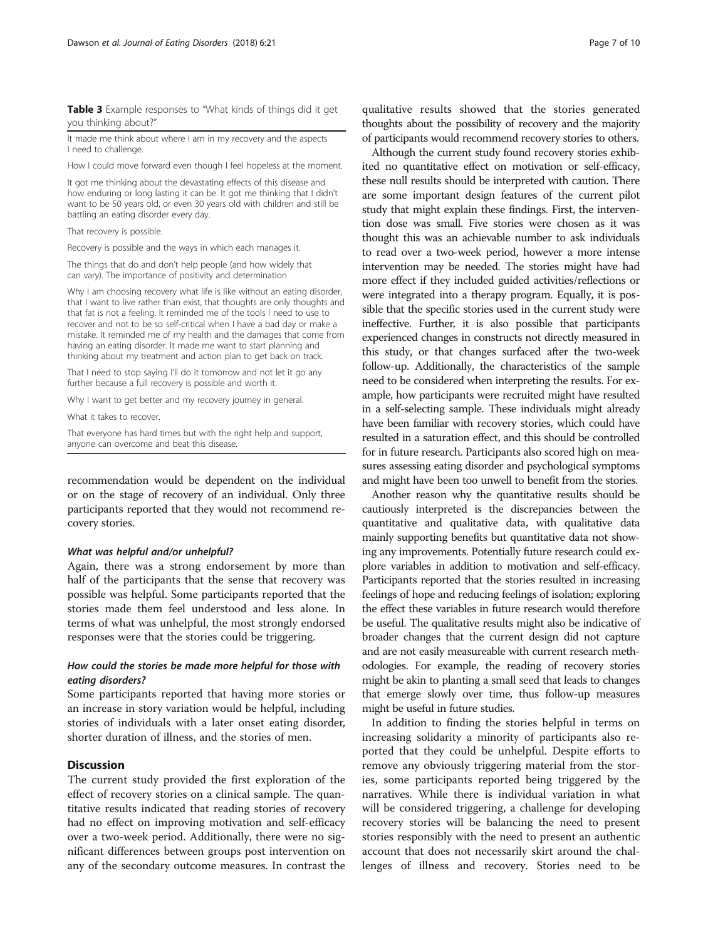<span id="page-6-0"></span>Table 3 Example responses to "What kinds of things did it get you thinking about?"

It made me think about where I am in my recovery and the aspects I need to challenge.

How I could move forward even though I feel hopeless at the moment.

It got me thinking about the devastating effects of this disease and how enduring or long lasting it can be. It got me thinking that I didn't want to be 50 years old, or even 30 years old with children and still be battling an eating disorder every day.

That recovery is possible.

Recovery is possible and the ways in which each manages it.

The things that do and don't help people (and how widely that can vary). The importance of positivity and determination

Why I am choosing recovery what life is like without an eating disorder, that I want to live rather than exist, that thoughts are only thoughts and that fat is not a feeling. It reminded me of the tools I need to use to recover and not to be so self-critical when I have a bad day or make a mistake. It reminded me of my health and the damages that come from having an eating disorder. It made me want to start planning and thinking about my treatment and action plan to get back on track.

That I need to stop saying I'll do it tomorrow and not let it go any further because a full recovery is possible and worth it.

Why I want to get better and my recovery journey in general.

What it takes to recover.

That everyone has hard times but with the right help and support, anyone can overcome and beat this disease.

recommendation would be dependent on the individual or on the stage of recovery of an individual. Only three participants reported that they would not recommend recovery stories.

# What was helpful and/or unhelpful?

Again, there was a strong endorsement by more than half of the participants that the sense that recovery was possible was helpful. Some participants reported that the stories made them feel understood and less alone. In terms of what was unhelpful, the most strongly endorsed responses were that the stories could be triggering.

# How could the stories be made more helpful for those with eating disorders?

Some participants reported that having more stories or an increase in story variation would be helpful, including stories of individuals with a later onset eating disorder, shorter duration of illness, and the stories of men.

# **Discussion**

The current study provided the first exploration of the effect of recovery stories on a clinical sample. The quantitative results indicated that reading stories of recovery had no effect on improving motivation and self-efficacy over a two-week period. Additionally, there were no significant differences between groups post intervention on any of the secondary outcome measures. In contrast the qualitative results showed that the stories generated thoughts about the possibility of recovery and the majority of participants would recommend recovery stories to others.

Although the current study found recovery stories exhibited no quantitative effect on motivation or self-efficacy, these null results should be interpreted with caution. There are some important design features of the current pilot study that might explain these findings. First, the intervention dose was small. Five stories were chosen as it was thought this was an achievable number to ask individuals to read over a two-week period, however a more intense intervention may be needed. The stories might have had more effect if they included guided activities/reflections or were integrated into a therapy program. Equally, it is possible that the specific stories used in the current study were ineffective. Further, it is also possible that participants experienced changes in constructs not directly measured in this study, or that changes surfaced after the two-week follow-up. Additionally, the characteristics of the sample need to be considered when interpreting the results. For example, how participants were recruited might have resulted in a self-selecting sample. These individuals might already have been familiar with recovery stories, which could have resulted in a saturation effect, and this should be controlled for in future research. Participants also scored high on measures assessing eating disorder and psychological symptoms and might have been too unwell to benefit from the stories.

Another reason why the quantitative results should be cautiously interpreted is the discrepancies between the quantitative and qualitative data, with qualitative data mainly supporting benefits but quantitative data not showing any improvements. Potentially future research could explore variables in addition to motivation and self-efficacy. Participants reported that the stories resulted in increasing feelings of hope and reducing feelings of isolation; exploring the effect these variables in future research would therefore be useful. The qualitative results might also be indicative of broader changes that the current design did not capture and are not easily measureable with current research methodologies. For example, the reading of recovery stories might be akin to planting a small seed that leads to changes that emerge slowly over time, thus follow-up measures might be useful in future studies.

In addition to finding the stories helpful in terms on increasing solidarity a minority of participants also reported that they could be unhelpful. Despite efforts to remove any obviously triggering material from the stories, some participants reported being triggered by the narratives. While there is individual variation in what will be considered triggering, a challenge for developing recovery stories will be balancing the need to present stories responsibly with the need to present an authentic account that does not necessarily skirt around the challenges of illness and recovery. Stories need to be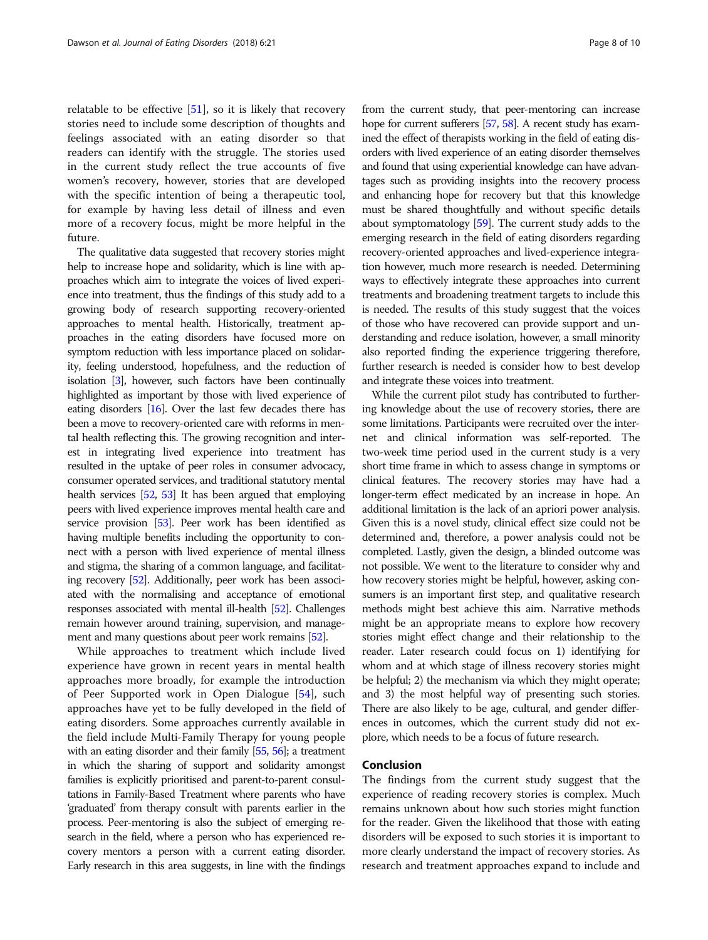relatable to be effective [\[51](#page-9-0)], so it is likely that recovery stories need to include some description of thoughts and feelings associated with an eating disorder so that readers can identify with the struggle. The stories used in the current study reflect the true accounts of five women's recovery, however, stories that are developed with the specific intention of being a therapeutic tool, for example by having less detail of illness and even more of a recovery focus, might be more helpful in the future.

The qualitative data suggested that recovery stories might help to increase hope and solidarity, which is line with approaches which aim to integrate the voices of lived experience into treatment, thus the findings of this study add to a growing body of research supporting recovery-oriented approaches to mental health. Historically, treatment approaches in the eating disorders have focused more on symptom reduction with less importance placed on solidarity, feeling understood, hopefulness, and the reduction of isolation [[3](#page-8-0)], however, such factors have been continually highlighted as important by those with lived experience of eating disorders [\[16\]](#page-8-0). Over the last few decades there has been a move to recovery-oriented care with reforms in mental health reflecting this. The growing recognition and interest in integrating lived experience into treatment has resulted in the uptake of peer roles in consumer advocacy, consumer operated services, and traditional statutory mental health services [\[52](#page-9-0), [53](#page-9-0)] It has been argued that employing peers with lived experience improves mental health care and service provision [\[53\]](#page-9-0). Peer work has been identified as having multiple benefits including the opportunity to connect with a person with lived experience of mental illness and stigma, the sharing of a common language, and facilitating recovery [[52\]](#page-9-0). Additionally, peer work has been associated with the normalising and acceptance of emotional responses associated with mental ill-health [\[52](#page-9-0)]. Challenges remain however around training, supervision, and management and many questions about peer work remains [\[52](#page-9-0)].

While approaches to treatment which include lived experience have grown in recent years in mental health approaches more broadly, for example the introduction of Peer Supported work in Open Dialogue [\[54](#page-9-0)], such approaches have yet to be fully developed in the field of eating disorders. Some approaches currently available in the field include Multi-Family Therapy for young people with an eating disorder and their family [\[55](#page-9-0), [56](#page-9-0)]; a treatment in which the sharing of support and solidarity amongst families is explicitly prioritised and parent-to-parent consultations in Family-Based Treatment where parents who have 'graduated' from therapy consult with parents earlier in the process. Peer-mentoring is also the subject of emerging research in the field, where a person who has experienced recovery mentors a person with a current eating disorder. Early research in this area suggests, in line with the findings

from the current study, that peer-mentoring can increase hope for current sufferers [[57,](#page-9-0) [58\]](#page-9-0). A recent study has examined the effect of therapists working in the field of eating disorders with lived experience of an eating disorder themselves and found that using experiential knowledge can have advantages such as providing insights into the recovery process and enhancing hope for recovery but that this knowledge must be shared thoughtfully and without specific details about symptomatology [\[59\]](#page-9-0). The current study adds to the emerging research in the field of eating disorders regarding recovery-oriented approaches and lived-experience integration however, much more research is needed. Determining ways to effectively integrate these approaches into current treatments and broadening treatment targets to include this is needed. The results of this study suggest that the voices of those who have recovered can provide support and understanding and reduce isolation, however, a small minority also reported finding the experience triggering therefore, further research is needed is consider how to best develop and integrate these voices into treatment.

While the current pilot study has contributed to furthering knowledge about the use of recovery stories, there are some limitations. Participants were recruited over the internet and clinical information was self-reported. The two-week time period used in the current study is a very short time frame in which to assess change in symptoms or clinical features. The recovery stories may have had a longer-term effect medicated by an increase in hope. An additional limitation is the lack of an apriori power analysis. Given this is a novel study, clinical effect size could not be determined and, therefore, a power analysis could not be completed. Lastly, given the design, a blinded outcome was not possible. We went to the literature to consider why and how recovery stories might be helpful, however, asking consumers is an important first step, and qualitative research methods might best achieve this aim. Narrative methods might be an appropriate means to explore how recovery stories might effect change and their relationship to the reader. Later research could focus on 1) identifying for whom and at which stage of illness recovery stories might be helpful; 2) the mechanism via which they might operate; and 3) the most helpful way of presenting such stories. There are also likely to be age, cultural, and gender differences in outcomes, which the current study did not explore, which needs to be a focus of future research.

# Conclusion

The findings from the current study suggest that the experience of reading recovery stories is complex. Much remains unknown about how such stories might function for the reader. Given the likelihood that those with eating disorders will be exposed to such stories it is important to more clearly understand the impact of recovery stories. As research and treatment approaches expand to include and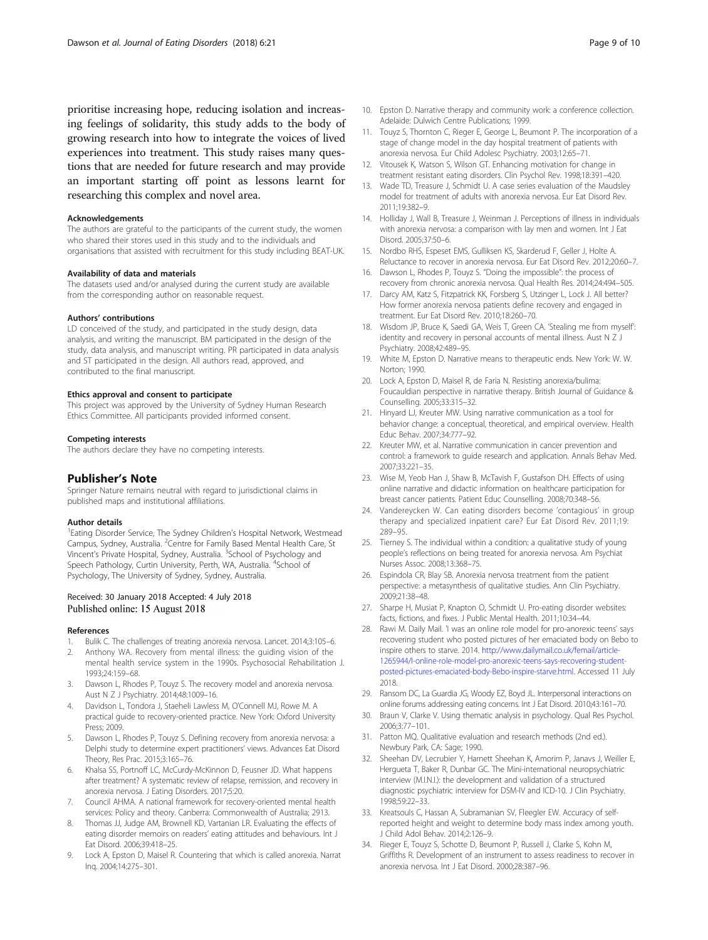<span id="page-8-0"></span>prioritise increasing hope, reducing isolation and increasing feelings of solidarity, this study adds to the body of growing research into how to integrate the voices of lived experiences into treatment. This study raises many questions that are needed for future research and may provide an important starting off point as lessons learnt for researching this complex and novel area.

#### Acknowledgements

The authors are grateful to the participants of the current study, the women who shared their stores used in this study and to the individuals and organisations that assisted with recruitment for this study including BEAT-UK.

#### Availability of data and materials

The datasets used and/or analysed during the current study are available from the corresponding author on reasonable request.

#### Authors' contributions

LD conceived of the study, and participated in the study design, data analysis, and writing the manuscript. BM participated in the design of the study, data analysis, and manuscript writing. PR participated in data analysis and ST participated in the design. All authors read, approved, and contributed to the final manuscript.

#### Ethics approval and consent to participate

This project was approved by the University of Sydney Human Research Ethics Committee. All participants provided informed consent.

#### Competing interests

The authors declare they have no competing interests.

# Publisher's Note

Springer Nature remains neutral with regard to jurisdictional claims in published maps and institutional affiliations.

#### Author details

<sup>1</sup> Eating Disorder Service, The Sydney Children's Hospital Network, Westmead Campus, Sydney, Australia. <sup>2</sup>Centre for Family Based Mental Health Care, St Vincent's Private Hospital, Sydney, Australia. <sup>3</sup>School of Psychology and Speech Pathology, Curtin University, Perth, WA, Australia. <sup>4</sup>School of Psychology, The University of Sydney, Sydney, Australia.

# Received: 30 January 2018 Accepted: 4 July 2018<br>Published online: 15 August 2018

#### References

- 1. Bulik C. The challenges of treating anorexia nervosa. Lancet. 2014;3:105–6.
- 2. Anthony WA. Recovery from mental illness: the guiding vision of the mental health service system in the 1990s. Psychosocial Rehabilitation J. 1993;24:159–68.
- 3. Dawson L, Rhodes P, Touyz S. The recovery model and anorexia nervosa. Aust N Z J Psychiatry. 2014;48:1009–16.
- 4. Davidson L, Tondora J, Staeheli Lawless M, O'Connell MJ, Rowe M. A practical guide to recovery-oriented practice. New York: Oxford University Press; 2009.
- 5. Dawson L, Rhodes P, Touyz S. Defining recovery from anorexia nervosa: a Delphi study to determine expert practitioners' views. Advances Eat Disord Theory, Res Prac. 2015;3:165–76.
- Khalsa SS, Portnoff LC, McCurdy-McKinnon D, Feusner JD. What happens after treatment? A systematic review of relapse, remission, and recovery in anorexia nervosa. J Eating Disorders. 2017;5:20.
- 7. Council AHMA. A national framework for recovery-oriented mental health services: Policy and theory. Canberra: Commonwealth of Australia; 2913.
- Thomas JJ, Judge AM, Brownell KD, Vartanian LR. Evaluating the effects of eating disorder memoirs on readers' eating attitudes and behaviours. Int J Eat Disord. 2006;39:418–25.
- 9. Lock A, Epston D, Maisel R. Countering that which is called anorexia. Narrat Inq. 2004;14:275–301.
- 10. Epston D. Narrative therapy and community work: a conference collection. Adelaide: Dulwich Centre Publications; 1999.
- 11. Touyz S, Thornton C, Rieger E, George L, Beumont P, The incorporation of a stage of change model in the day hospital treatment of patients with anorexia nervosa. Eur Child Adolesc Psychiatry. 2003;12:65–71.
- 12. Vitousek K, Watson S, Wilson GT. Enhancing motivation for change in treatment resistant eating disorders. Clin Psychol Rev. 1998;18:391–420.
- 13. Wade TD, Treasure J, Schmidt U. A case series evaluation of the Maudsley model for treatment of adults with anorexia nervosa. Eur Eat Disord Rev. 2011;19:382–9.
- 14. Holliday J, Wall B, Treasure J, Weinman J. Perceptions of illness in individuals with anorexia nervosa: a comparison with lay men and women. Int J Eat Disord. 2005;37:50–6.
- 15. Nordbo RHS, Espeset EMS, Gulliksen KS, Skarderud F, Geller J, Holte A. Reluctance to recover in anorexia nervosa. Eur Eat Disord Rev. 2012;20:60–7.
- 16. Dawson L, Rhodes P, Touyz S. "Doing the impossible": the process of recovery from chronic anorexia nervosa. Qual Health Res. 2014;24:494–505.
- 17. Darcy AM, Katz S, Fitzpatrick KK, Forsberg S, Utzinger L, Lock J. All better? How former anorexia nervosa patients define recovery and engaged in treatment. Eur Eat Disord Rev. 2010;18:260–70.
- 18. Wisdom JP, Bruce K, Saedi GA, Weis T, Green CA. 'Stealing me from myself': identity and recovery in personal accounts of mental illness. Aust N Z J Psychiatry. 2008;42:489–95.
- 19. White M, Epston D. Narrative means to therapeutic ends. New York: W. W. Norton; 1990.
- 20. Lock A, Epston D, Maisel R, de Faria N. Resisting anorexia/bulima: Foucauldian perspective in narrative therapy. British Journal of Guidance & Counselling. 2005;33:315–32.
- 21. Hinyard LJ, Kreuter MW. Using narrative communication as a tool for behavior change: a conceptual, theoretical, and empirical overview. Health Educ Behav. 2007;34:777–92.
- 22. Kreuter MW, et al. Narrative communication in cancer prevention and control: a framework to guide research and application. Annals Behav Med. 2007;33:221–35.
- 23. Wise M, Yeob Han J, Shaw B, McTavish F, Gustafson DH. Effects of using online narrative and didactic information on healthcare participation for breast cancer patients. Patient Educ Counselling. 2008;70:348–56.
- 24. Vandereycken W. Can eating disorders become 'contagious' in group therapy and specialized inpatient care? Eur Eat Disord Rev. 2011;19: 289–95.
- 25. Tierney S. The individual within a condition: a qualitative study of young people's reflections on being treated for anorexia nervosa. Am Psychiat Nurses Assoc. 2008;13:368–75.
- 26. Espindola CR, Blay SB. Anorexia nervosa treatment from the patient perspective: a metasynthesis of qualitative studies. Ann Clin Psychiatry. 2009;21:38–48.
- 27. Sharpe H, Musiat P, Knapton O, Schmidt U. Pro-eating disorder websites: facts, fictions, and fixes. J Public Mental Health. 2011;10:34–44.
- 28. Rawi M. Daily Mail. 'I was an online role model for pro-anorexic teens' says recovering student who posted pictures of her emaciated body on Bebo to inspire others to starve. 2014. [http://www.dailymail.co.uk/femail/article-](http://www.dailymail.co.uk/femail/article-1265944/I-online-role-model-pro-anorexic-teens-says-recovering-student-posted-pictures-emaciated-body-Bebo-inspire-starve.html)[1265944/I-online-role-model-pro-anorexic-teens-says-recovering-student](http://www.dailymail.co.uk/femail/article-1265944/I-online-role-model-pro-anorexic-teens-says-recovering-student-posted-pictures-emaciated-body-Bebo-inspire-starve.html)[posted-pictures-emaciated-body-Bebo-inspire-starve.html.](http://www.dailymail.co.uk/femail/article-1265944/I-online-role-model-pro-anorexic-teens-says-recovering-student-posted-pictures-emaciated-body-Bebo-inspire-starve.html) Accessed 11 July 2018.
- 29. Ransom DC, La Guardia JG, Woody EZ, Boyd JL. Interpersonal interactions on online forums addressing eating concerns. Int J Eat Disord. 2010;43:161–70.
- 30. Braun V, Clarke V. Using thematic analysis in psychology. Qual Res Psychol. 2006;3:77–101.
- 31. Patton MQ. Qualitative evaluation and research methods (2nd ed.). Newbury Park, CA: Sage; 1990.
- 32. Sheehan DV, Lecrubier Y, Harnett Sheehan K, Amorim P, Janavs J, Weiller E, Hergueta T, Baker R, Dunbar GC. The Mini-international neuropsychiatric interview (M.I.N.I.): the development and validation of a structured diagnostic psychiatric interview for DSM-IV and ICD-10. J Clin Psychiatry. 1998;59:22–33.
- 33. Kreatsouls C, Hassan A, Subramanian SV, Fleegler EW. Accuracy of selfreported height and weight to determine body mass index among youth. J Child Adol Behav. 2014;2:126–9.
- 34. Rieger E, Touyz S, Schotte D, Beumont P, Russell J, Clarke S, Kohn M, Griffiths R. Development of an instrument to assess readiness to recover in anorexia nervosa. Int J Eat Disord. 2000;28:387–96.